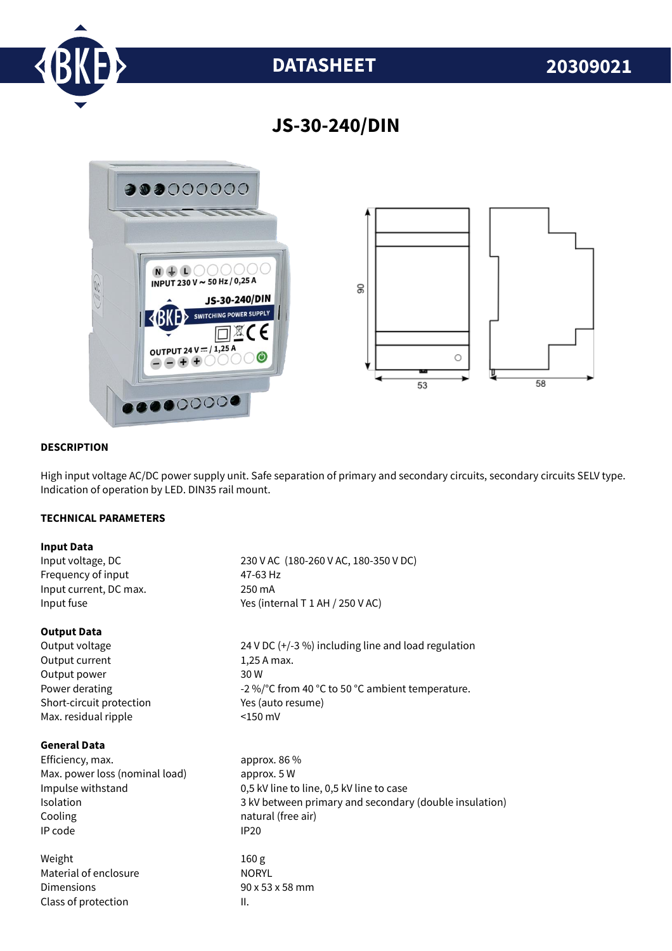

# **DATASHEET 20309021**

## **JS-30-240/DIN**



#### **DESCRIPTION**

High input voltage AC/DC power supply unit. Safe separation of primary and secondary circuits, secondary circuits SELV type. Indication of operation by LED. DIN35 rail mount.

#### **TECHNICAL PARAMETERS**

#### **Input Data**

Input voltage, DC 230 V AC (180-260 V AC, 180-350 V DC) Frequency of input 47-63 Hz Input current, DC max. 250 mA Input fuse  $Y$ es (internal T 1 AH / 250 V AC)

#### **Output Data**

Output current 1,25 A max. Output power 30 W Short-circuit protection Yes (auto resume) Max. residual ripple <150 mV

#### **General Data**

Efficiency, max. approx. 86 % Max. power loss (nominal load) approx. 5 W Cooling **natural** (free air) IP code IP20

Weight 160 g Material of enclosure NORYL Dimensions 90 x 53 x 58 mm Class of protection and II.

Output voltage 24 V DC (+/-3 %) including line and load regulation Power derating  $-2\%$  °C from 40 °C to 50 °C ambient temperature.

Impulse withstand 0,5 kV line to line, 0,5 kV line to case Isolation 3 kV between primary and secondary (double insulation)